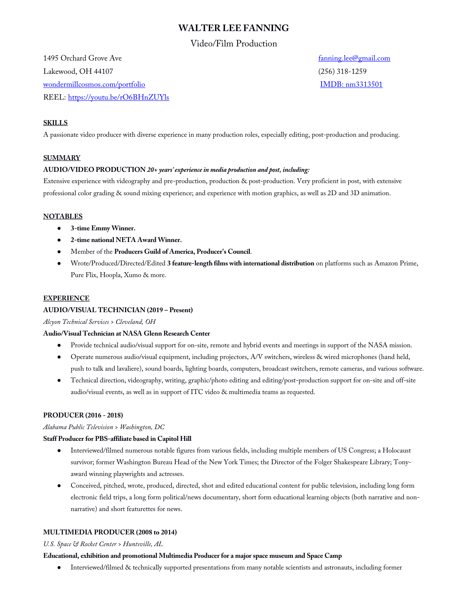# **WALTER LEE FANNING**

# Video/Film Production

1495 Orchard Grove Ave [fanning.lee@gmail.com](mailto:fanning.lee@gmail.com) Lakewood, OH 44107 (256) 318-1259 [wondermillcosmos.com/portfolio](https://www.wondermillcosmos.com/portfolio.html) intervention in the state of the [IMDB: nm3313501](https://www.imdb.com/name/nm3313501/?ref_=fn_al_nm_1) REEL:<https://youtu.be/rO6BHnZUYls>

# **SKILLS**

A passionate video producer with diverse experience in many production roles, especially editing, post-production and producing.

# **SUMMARY**

# **AUDIO/VIDEO PRODUCTION** *20+ years' experiencein media production and post, including:*

Extensive experience with videography and pre-production, production & post-production. Very proficient in post, with extensive professional color grading & sound mixing experience; and experience with motion graphics, as well as 2D and 3D animation.

# **NOTABLES**

- **3-time Emmy Winner.**
- **2-time national NETA Award Winner.**
- Member of the **Producers Guild of America, Producer's Council**.
- Wrote/Produced/Directed/Edited **3 feature-length films with international distribution** on platforms such as Amazon Prime, Pure Flix, Hoopla, Xumo & more.

# **EXPERIENCE**

# **AUDIO/VISUAL TECHNICIAN (2019 – Present)**

*Alcyon Technical Services > Cleveland, OH*

# **Audio/Visual Technician at NASA Glenn Research Center**

- Provide technical audio/visual support for on-site, remote and hybrid events and meetings in support of the NASA mission.
- Operate numerous audio/visual equipment, including projectors, A/V switchers, wireless & wired microphones (hand held, push to talk and lavaliere), sound boards, lighting boards, computers, broadcast switchers, remote cameras, and various software.
- Technical direction, videography, writing, graphic/photo editing and editing/post-production support for on-site and off-site audio/visual events, as well as in support of ITC video & multimedia teams as requested.

# **PRODUCER (2016 - 2018)**

*Alabama Public Television > Washington, DC*

# **Staff Producer for PBS-affiliate based in Capitol Hill**

- Interviewed/filmed numerous notable figures from various fields, including multiple members of US Congress; a Holocaust survivor; former Washington Bureau Head of the New York Times; the Director of the Folger Shakespeare Library; Tonyaward winning playwrights and actresses.
- Conceived, pitched, wrote, produced, directed, shot and edited educational content for public television, including long form electronic field trips, a long form political/news documentary, short form educational learning objects (both narrative and nonnarrative) and short featurettes for news.

# **MULTIMEDIA PRODUCER (2008 to 2014)**

# *U.S. Space & Rocket Center > Huntsville, AL*

# **Educational, exhibition and promotional Multimedia Producer for a major space museum and Space Camp**

● Interviewed/filmed & technically supported presentations from many notable scientists and astronauts, including former